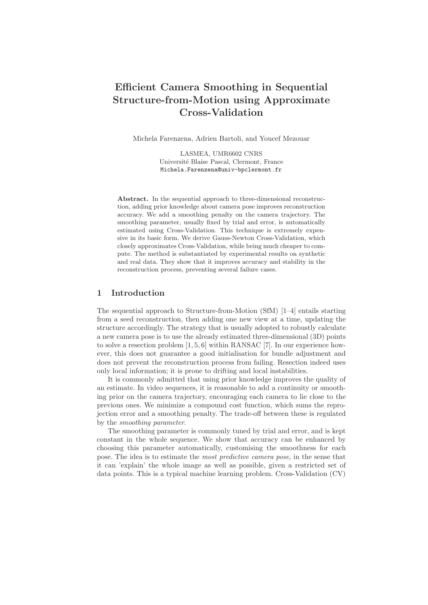# Efficient Camera Smoothing in Sequential Structure-from-Motion using Approximate Cross-Validation

Michela Farenzena, Adrien Bartoli, and Youcef Mezouar

LASMEA, UMR6602 CNRS Universit´e Blaise Pascal, Clermont, France Michela.Farenzena@univ-bpclermont.fr

Abstract. In the sequential approach to three-dimensional reconstruction, adding prior knowledge about camera pose improves reconstruction accuracy. We add a smoothing penalty on the camera trajectory. The smoothing parameter, usually fixed by trial and error, is automatically estimated using Cross-Validation. This technique is extremely expensive in its basic form. We derive Gauss-Newton Cross-Validation, which closely approximates Cross-Validation, while being much cheaper to compute. The method is substantiated by experimental results on synthetic and real data. They show that it improves accuracy and stability in the reconstruction process, preventing several failure cases.

## 1 Introduction

The sequential approach to Structure-from-Motion (SfM) [1–4] entails starting from a seed reconstruction, then adding one new view at a time, updating the structure accordingly. The strategy that is usually adopted to robustly calculate a new camera pose is to use the already estimated three-dimensional (3D) points to solve a resection problem [1, 5, 6] within RANSAC [7]. In our experience however, this does not guarantee a good initialisation for bundle adjustment and does not prevent the reconstruction process from failing. Resection indeed uses only local information; it is prone to drifting and local instabilities.

It is commonly admitted that using prior knowledge improves the quality of an estimate. In video sequences, it is reasonable to add a continuity or smoothing prior on the camera trajectory, encouraging each camera to lie close to the previous ones. We minimize a compound cost function, which sums the reprojection error and a smoothing penalty. The trade-off between these is regulated by the smoothing parameter.

The smoothing parameter is commonly tuned by trial and error, and is kept constant in the whole sequence. We show that accuracy can be enhanced by choosing this parameter automatically, customising the smoothness for each pose. The idea is to estimate the most predictive camera pose, in the sense that it can 'explain' the whole image as well as possible, given a restricted set of data points. This is a typical machine learning problem. Cross-Validation (CV)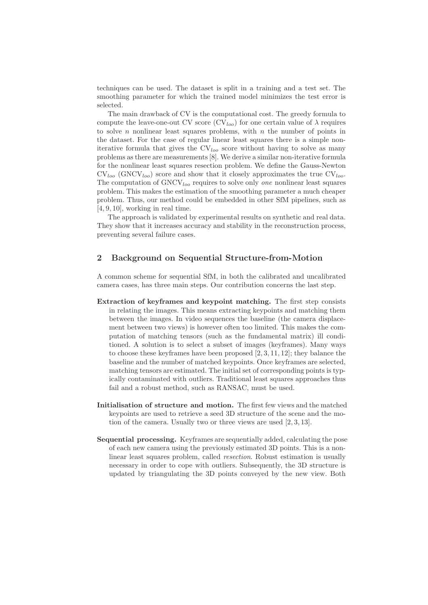techniques can be used. The dataset is split in a training and a test set. The smoothing parameter for which the trained model minimizes the test error is selected.

The main drawback of CV is the computational cost. The greedy formula to compute the leave-one-out CV score  $\left(\mathrm{CV}_{loc}\right)$  for one certain value of  $\lambda$  requires to solve n nonlinear least squares problems, with  $n$  the number of points in the dataset. For the case of regular linear least squares there is a simple noniterative formula that gives the  $CV<sub>loo</sub>$  score without having to solve as many problems as there are measurements [8]. We derive a similar non-iterative formula for the nonlinear least squares resection problem. We define the Gauss-Newton  $CV<sub>loo</sub>$  (GNCV<sub>loo</sub>) score and show that it closely approximates the true  $CV<sub>loo</sub>$ . The computation of  $GNCV_{loo}$  requires to solve only *one* nonlinear least squares problem. This makes the estimation of the smoothing parameter a much cheaper problem. Thus, our method could be embedded in other SfM pipelines, such as [4, 9, 10], working in real time.

The approach is validated by experimental results on synthetic and real data. They show that it increases accuracy and stability in the reconstruction process, preventing several failure cases.

## 2 Background on Sequential Structure-from-Motion

A common scheme for sequential SfM, in both the calibrated and uncalibrated camera cases, has three main steps. Our contribution concerns the last step.

- Extraction of keyframes and keypoint matching. The first step consists in relating the images. This means extracting keypoints and matching them between the images. In video sequences the baseline (the camera displacement between two views) is however often too limited. This makes the computation of matching tensors (such as the fundamental matrix) ill conditioned. A solution is to select a subset of images (keyframes). Many ways to choose these keyframes have been proposed [2, 3, 11, 12]; they balance the baseline and the number of matched keypoints. Once keyframes are selected, matching tensors are estimated. The initial set of corresponding points is typically contaminated with outliers. Traditional least squares approaches thus fail and a robust method, such as RANSAC, must be used.
- Initialisation of structure and motion. The first few views and the matched keypoints are used to retrieve a seed 3D structure of the scene and the motion of the camera. Usually two or three views are used [2, 3, 13].
- Sequential processing. Keyframes are sequentially added, calculating the pose of each new camera using the previously estimated 3D points. This is a nonlinear least squares problem, called resection. Robust estimation is usually necessary in order to cope with outliers. Subsequently, the 3D structure is updated by triangulating the 3D points conveyed by the new view. Both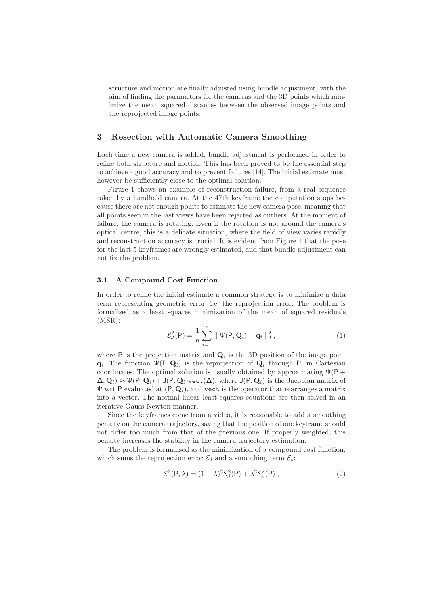structure and motion are finally adjusted using bundle adjustment, with the aim of finding the parameters for the cameras and the 3D points which minimize the mean squared distances between the observed image points and the reprojected image points.

## 3 Resection with Automatic Camera Smoothing

Each time a new camera is added, bundle adjustment is performed in order to refine both structure and motion. This has been proved to be the essential step to achieve a good accuracy and to prevent failures [14]. The initial estimate must however be sufficiently close to the optimal solution.

Figure 1 shows an example of reconstruction failure, from a real sequence taken by a handheld camera. At the 47th keyframe the computation stops because there are not enough points to estimate the new camera pose, meaning that all points seen in the last views have been rejected as outliers. At the moment of failure, the camera is rotating. Even if the rotation is not around the camera's optical centre, this is a delicate situation, where the field of view varies rapidly and reconstruction accuracy is crucial. It is evident from Figure 1 that the pose for the last 5 keyframes are wrongly estimated, and that bundle adjustment can not fix the problem.

#### 3.1 A Compound Cost Function

In order to refine the initial estimate a common strategy is to minimize a data term representing geometric error, i.e. the reprojection error. The problem is formalised as a least squares minimization of the mean of squared residuals (MSR):

$$
\mathcal{E}_d^2(\mathsf{P}) = \frac{1}{n} \sum_{i=1}^n \|\Psi(\mathsf{P}, \mathbf{Q}_i) - \mathbf{q}_i\|_2^2 ,\qquad (1)
$$

where  $P$  is the projection matrix and  $Q_i$  is the 3D position of the image point  $\mathbf{q}_i$ . The function  $\Psi(\mathsf{P},\mathbf{Q}_i)$  is the reprojection of  $\mathbf{Q}_i$  through P, in Cartesian coordinates. The optimal solution is usually obtained by approximating  $\Psi$ (P +  $\Delta, \mathbf{Q}_i) \approx \Psi(\mathsf{P}, \mathbf{Q}_i) + \mathsf{J}(\mathsf{P}, \mathbf{Q}_i)$  vect $(\Delta)$ , where  $\mathsf{J}(\mathsf{P}, \mathbf{Q}_i)$  is the Jacobian matrix of  $\Psi$  wrt P evaluated at  $(P, Q_i)$ , and vect is the operator that rearranges a matrix into a vector. The normal linear least squares equations are then solved in an iterative Gauss-Newton manner.

Since the keyframes come from a video, it is reasonable to add a smoothing penalty on the camera trajectory, saying that the position of one keyframe should not differ too much from that of the previous one. If properly weighted, this penalty increases the stability in the camera trajectory estimation.

The problem is formalised as the minimization of a compound cost function, which sums the reprojection error  $\mathcal{E}_d$  and a smoothing term  $\mathcal{E}_s$ :

$$
\mathcal{E}^2(\mathsf{P}, \lambda) = (1 - \lambda)^2 \mathcal{E}_d^2(\mathsf{P}) + \lambda^2 \mathcal{E}_s^2(\mathsf{P})\,,\tag{2}
$$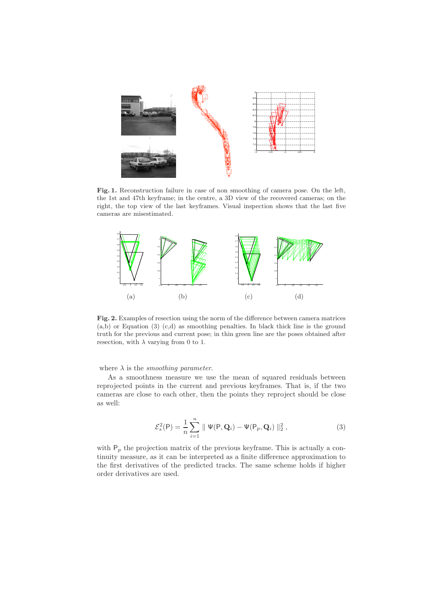

Fig. 1. Reconstruction failure in case of non smoothing of camera pose. On the left, the 1st and 47th keyframe; in the centre, a 3D view of the recovered cameras; on the right, the top view of the last keyframes. Visual inspection shows that the last five cameras are misestimated.



Fig. 2. Examples of resection using the norm of the difference between camera matrices (a,b) or Equation (3) (c,d) as smoothing penalties. In black thick line is the ground truth for the previous and current pose; in thin green line are the poses obtained after resection, with  $\lambda$  varying from 0 to 1.

## where  $\lambda$  is the *smoothing parameter*.

As a smoothness measure we use the mean of squared residuals between reprojected points in the current and previous keyframes. That is, if the two cameras are close to each other, then the points they reproject should be close as well:

$$
\mathcal{E}_s^2(\mathsf{P}) = \frac{1}{n} \sum_{i=1}^n \|\Psi(\mathsf{P}, \mathbf{Q}_i) - \Psi(\mathsf{P}_p, \mathbf{Q}_i)\|_2^2 ,\qquad (3)
$$

with  $P_p$  the projection matrix of the previous keyframe. This is actually a continuity measure, as it can be interpreted as a finite difference approximation to the first derivatives of the predicted tracks. The same scheme holds if higher order derivatives are used.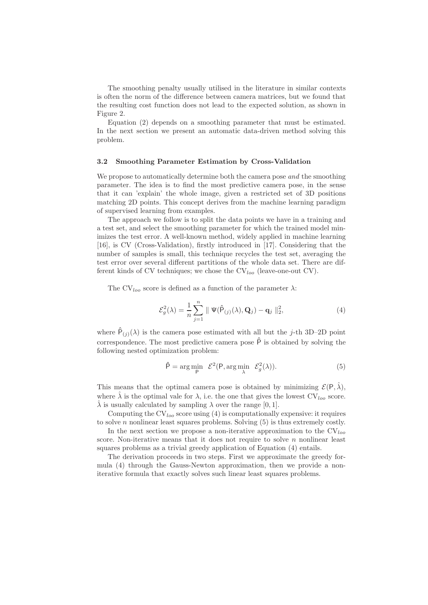The smoothing penalty usually utilised in the literature in similar contexts is often the norm of the difference between camera matrices, but we found that the resulting cost function does not lead to the expected solution, as shown in Figure 2.

Equation (2) depends on a smoothing parameter that must be estimated. In the next section we present an automatic data-driven method solving this problem.

#### 3.2 Smoothing Parameter Estimation by Cross-Validation

We propose to automatically determine both the camera pose and the smoothing parameter. The idea is to find the most predictive camera pose, in the sense that it can 'explain' the whole image, given a restricted set of 3D positions matching 2D points. This concept derives from the machine learning paradigm of supervised learning from examples.

The approach we follow is to split the data points we have in a training and a test set, and select the smoothing parameter for which the trained model minimizes the test error. A well-known method, widely applied in machine learning [16], is CV (Cross-Validation), firstly introduced in [17]. Considering that the number of samples is small, this technique recycles the test set, averaging the test error over several different partitions of the whole data set. There are different kinds of CV techniques; we chose the  $CV<sub>loo</sub>$  (leave-one-out CV).

The CV<sub>loo</sub> score is defined as a function of the parameter  $\lambda$ :

$$
\mathcal{E}_{g}^{2}(\lambda) = \frac{1}{n} \sum_{j=1}^{n} \| \Psi(\hat{P}_{(j)}(\lambda), \mathbf{Q}_{j}) - \mathbf{q}_{j} \|_{2}^{2},
$$
\n(4)

where  $\hat{P}_{(j)}(\lambda)$  is the camera pose estimated with all but the j-th 3D-2D point correspondence. The most predictive camera pose  $\hat{P}$  is obtained by solving the following nested optimization problem:

$$
\hat{\mathsf{P}} = \arg\min_{\mathsf{P}} \ \mathcal{E}^2(\mathsf{P}, \arg\min_{\lambda} \ \mathcal{E}_g^2(\lambda)). \tag{5}
$$

This means that the optimal camera pose is obtained by minimizing  $\mathcal{E}(\mathsf{P},\hat{\lambda}),$ where  $\hat{\lambda}$  is the optimal vale for  $\lambda$ , i.e. the one that gives the lowest  $CV_{loo}$  score.  $\hat{\lambda}$  is usually calculated by sampling  $\lambda$  over the range [0, 1].

Computing the  $CV<sub>loo</sub>$  score using (4) is computationally expensive: it requires to solve  $n$  nonlinear least squares problems. Solving  $(5)$  is thus extremely costly.

In the next section we propose a non-iterative approximation to the  $CV<sub>loc</sub>$ score. Non-iterative means that it does not require to solve  $n$  nonlinear least squares problems as a trivial greedy application of Equation (4) entails.

The derivation proceeds in two steps. First we approximate the greedy formula (4) through the Gauss-Newton approximation, then we provide a noniterative formula that exactly solves such linear least squares problems.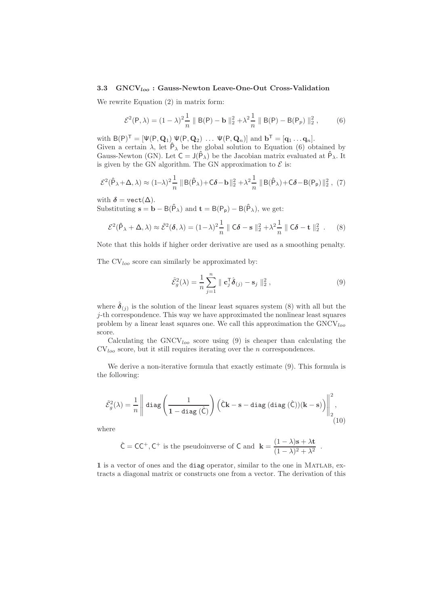#### 3.3  $GNCV_{loo}$ : Gauss-Newton Leave-One-Out Cross-Validation

We rewrite Equation (2) in matrix form:

$$
\mathcal{E}^2(\mathsf{P}, \lambda) = (1 - \lambda)^2 \frac{1}{n} \| \mathsf{B}(\mathsf{P}) - \mathbf{b} \|_2^2 + \lambda^2 \frac{1}{n} \| \mathsf{B}(\mathsf{P}) - \mathsf{B}(\mathsf{P}_p) \|_2^2, \tag{6}
$$

with  $B(P)^{\mathsf{T}} = [\Psi(P, \mathbf{Q}_1) \ \Psi(P, \mathbf{Q}_2) \ \dots \ \Psi(P, \mathbf{Q}_n)]$  and  $\mathbf{b}^{\mathsf{T}} = [\mathbf{q}_1 \dots \mathbf{q}_n].$ Given a certain  $\lambda$ , let  $\hat{P}_\lambda$  be the global solution to Equation (6) obtained by Gauss-Newton (GN). Let  $C = J(\hat{P}_{\lambda})$  be the Jacobian matrix evaluated at  $\hat{P}_{\lambda}$ . It is given by the GN algorithm. The GN approximation to  $\mathcal E$  is:

$$
\mathcal{E}^2(\hat{\mathsf{P}}_{\lambda} + \Delta, \lambda) \approx (1-\lambda)^2 \frac{1}{n} \|\mathsf{B}(\hat{\mathsf{P}}_{\lambda}) + \mathsf{C}\delta - \mathbf{b}\|_2^2 + \lambda^2 \frac{1}{n} \|\mathsf{B}(\hat{\mathsf{P}}_{\lambda}) + \mathsf{C}\delta - \mathsf{B}(\mathsf{P}_{\mathsf{p}})\|_2^2, (7)
$$

with  $\delta = \text{vect}(\Delta)$ .

Substituting  $\mathbf{s} = \mathbf{b} - B(\hat{P}_{\lambda})$  and  $\mathbf{t} = B(P_p) - B(\hat{P}_{\lambda})$ , we get:

$$
\mathcal{E}^2(\hat{P}_\lambda + \Delta, \lambda) \approx \tilde{\mathcal{E}}^2(\delta, \lambda) = (1 - \lambda)^2 \frac{1}{n} \| \mathbf{C}\delta - \mathbf{s} \|_2^2 + \lambda^2 \frac{1}{n} \| \mathbf{C}\delta - \mathbf{t} \|_2^2.
$$
 (8)

Note that this holds if higher order derivative are used as a smoothing penalty.

The  $CV<sub>loo</sub>$  score can similarly be approximated by:

$$
\tilde{\mathcal{E}}_g^2(\lambda) = \frac{1}{n} \sum_{j=1}^n \parallel \mathbf{c}_j^{\mathsf{T}} \hat{\boldsymbol{\delta}}_{(j)} - \mathbf{s}_j \parallel_2^2, \qquad (9)
$$

where  $\hat{\boldsymbol{\delta}}_{(j)}$  is the solution of the linear least squares system (8) with all but the j-th correspondence. This way we have approximated the nonlinear least squares problem by a linear least squares one. We call this approximation the  $\text{GNCV}_{loo}$ score.

Calculating the  $GNCV_{loo}$  score using (9) is cheaper than calculating the  $CV<sub>loo</sub>$  score, but it still requires iterating over the n correspondences.

We derive a non-iterative formula that exactly estimate (9). This formula is the following:

$$
\tilde{\mathcal{E}}_g^2(\lambda) = \frac{1}{n} \left\| \operatorname{diag}\left(\frac{1}{1 - \operatorname{diag}\left(\hat{\mathsf{C}}\right)}\right) \left(\hat{\mathsf{C}}\mathbf{k} - \mathbf{s} - \operatorname{diag}\left(\operatorname{diag}\left(\hat{\mathsf{C}}\right)\right)(\mathbf{k} - \mathbf{s})\right) \right\|_2^2, \tag{10}
$$

where

$$
\hat{\mathsf{C}} = \mathsf{C}\mathsf{C}^+, \mathsf{C}^+
$$
 is the pseudoinverse of **C** and  $\mathbf{k} = \frac{(1-\lambda)\mathbf{s} + \lambda \mathbf{t}}{(1-\lambda)^2 + \lambda^2}$ .

1 is a vector of ones and the diag operator, similar to the one in Matlab, extracts a diagonal matrix or constructs one from a vector. The derivation of this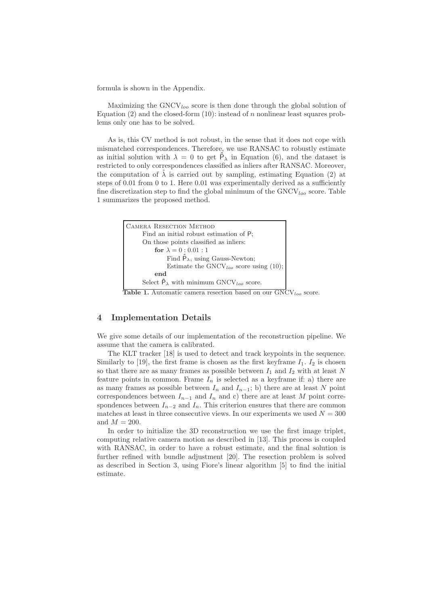formula is shown in the Appendix.

Maximizing the  $GNCV_{loo}$  score is then done through the global solution of Equation  $(2)$  and the closed-form  $(10)$ : instead of n nonlinear least squares problems only one has to be solved.

As is, this CV method is not robust, in the sense that it does not cope with mismatched correspondences. Therefore, we use RANSAC to robustly estimate as initial solution with  $\lambda = 0$  to get  $\hat{P}_{\lambda}$  in Equation (6), and the dataset is restricted to only correspondences classified as inliers after RANSAC. Moreover, the computation of  $\hat{\lambda}$  is carried out by sampling, estimating Equation (2) at steps of 0.01 from 0 to 1. Here 0.01 was experimentally derived as a sufficiently fine discretization step to find the global minimum of the  $GNCV_{loo}$  score. Table 1 summarizes the proposed method.



Table 1. Automatic camera resection based on our  $\text{GNCV}_{loo}$  score.

## 4 Implementation Details

We give some details of our implementation of the reconstruction pipeline. We assume that the camera is calibrated.

The KLT tracker [18] is used to detect and track keypoints in the sequence. Similarly to [19], the first frame is chosen as the first keyframe  $I_1$ .  $I_2$  is chosen so that there are as many frames as possible between  $I_1$  and  $I_2$  with at least N feature points in common. Frame  $I_n$  is selected as a keyframe if: a) there are as many frames as possible between  $I_n$  and  $I_{n-1}$ ; b) there are at least N point correspondences between  $I_{n-1}$  and  $I_n$  and c) there are at least M point correspondences between  $I_{n-2}$  and  $I_n$ . This criterion ensures that there are common matches at least in three consecutive views. In our experiments we used  $N = 300$ and  $M = 200$ .

In order to initialize the 3D reconstruction we use the first image triplet, computing relative camera motion as described in [13]. This process is coupled with RANSAC, in order to have a robust estimate, and the final solution is further refined with bundle adjustment [20]. The resection problem is solved as described in Section 3, using Fiore's linear algorithm [5] to find the initial estimate.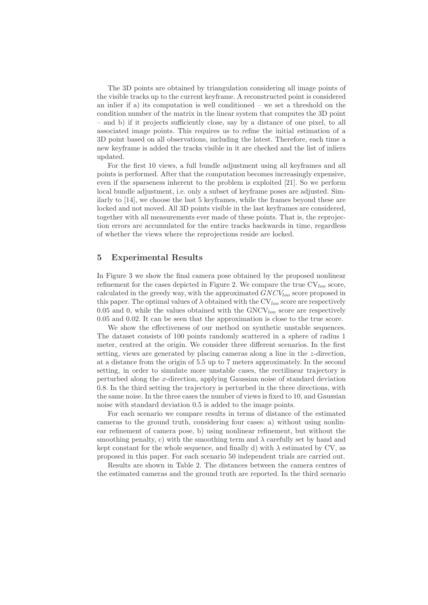The 3D points are obtained by triangulation considering all image points of the visible tracks up to the current keyframe. A reconstructed point is considered an inlier if a) its computation is well conditioned – we set a threshold on the condition number of the matrix in the linear system that computes the 3D point – and b) if it projects sufficiently close, say by a distance of one pixel, to all associated image points. This requires us to refine the initial estimation of a 3D point based on all observations, including the latest. Therefore, each time a new keyframe is added the tracks visible in it are checked and the list of inliers updated.

For the first 10 views, a full bundle adjustment using all keyframes and all points is performed. After that the computation becomes increasingly expensive, even if the sparseness inherent to the problem is exploited [21]. So we perform local bundle adjustment, i.e. only a subset of keyframe poses are adjusted. Similarly to [14], we choose the last 5 keyframes, while the frames beyond these are locked and not moved. All 3D points visible in the last keyframes are considered, together with all measurements ever made of these points. That is, the reprojection errors are accumulated for the entire tracks backwards in time, regardless of whether the views where the reprojections reside are locked.

## 5 Experimental Results

In Figure 3 we show the final camera pose obtained by the proposed nonlinear refinement for the cases depicted in Figure 2. We compare the true  $CV<sub>loo</sub>$  score, calculated in the greedy way, with the approximated  $GNCV_{loo}$  score proposed in this paper. The optimal values of  $\lambda$  obtained with the CV<sub>loo</sub> score are respectively 0.05 and 0, while the values obtained with the  $GNCV_{loc}$  score are respectively 0.05 and 0.02. It can be seen that the approximation is close to the true score.

We show the effectiveness of our method on synthetic unstable sequences. The dataset consists of 100 points randomly scattered in a sphere of radius 1 meter, centred at the origin. We consider three different scenarios. In the first setting, views are generated by placing cameras along a line in the z-direction, at a distance from the origin of 5.5 up to 7 meters approximately. In the second setting, in order to simulate more unstable cases, the rectilinear trajectory is perturbed along the x-direction, applying Gaussian noise of standard deviation 0.8. In the third setting the trajectory is perturbed in the three directions, with the same noise. In the three cases the number of views is fixed to 10, and Gaussian noise with standard deviation 0.5 is added to the image points.

For each scenario we compare results in terms of distance of the estimated cameras to the ground truth, considering four cases: a) without using nonlinear refinement of camera pose, b) using nonlinear refinement, but without the smoothing penalty, c) with the smoothing term and  $\lambda$  carefully set by hand and kept constant for the whole sequence, and finally d) with  $\lambda$  estimated by CV, as proposed in this paper. For each scenario 50 independent trials are carried out.

Results are shown in Table 2. The distances between the camera centres of the estimated cameras and the ground truth are reported. In the third scenario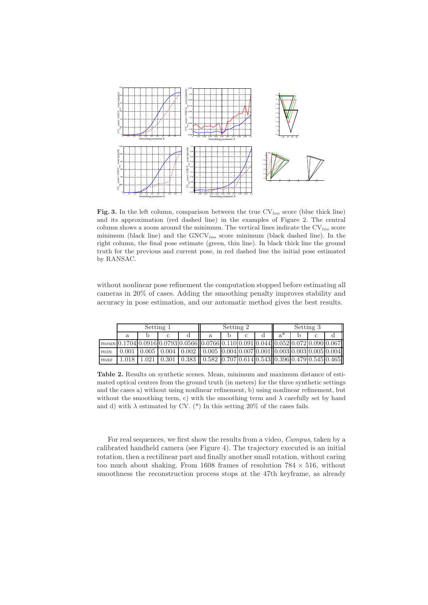

Fig. 3. In the left column, comparison between the true  $CV<sub>loo</sub>$  score (blue thick line) and its approximation (red dashed line) in the examples of Figure 2. The central column shows a zoom around the minimum. The vertical lines indicate the  $CV<sub>loc</sub>$  score minimum (black line) and the  $GNCV_{loo}$  score minimum (black dashed line). In the right column, the final pose estimate (green, thin line). In black thick line the ground truth for the previous and current pose, in red dashed line the initial pose estimated by RANSAC.

without nonlinear pose refinement the computation stopped before estimating all cameras in 20% of cases. Adding the smoothing penalty improves stability and accuracy in pose estimation, and our automatic method gives the best results.

|     | Setting 1 |       |  |                                                                                                                            | Setting 2 |  |  |  | Setting 3 |  |  |  |
|-----|-----------|-------|--|----------------------------------------------------------------------------------------------------------------------------|-----------|--|--|--|-----------|--|--|--|
|     | a         |       |  |                                                                                                                            | a         |  |  |  | a*        |  |  |  |
|     |           |       |  | $\lceil \text{mean} \rceil$ 0.1704 0.0916 0.0793 0.0566 0.0766 0.110 0.091 0.044 0.052 0.072 0.090 0.067                   |           |  |  |  |           |  |  |  |
| min | 0.001     |       |  | $0.005 \mid 0.004 \mid 0.002 \mid 0.005 \mid 0.004 \mid 0.007 \mid 0.001 \mid 0.003 \mid 0.003 \mid 0.005 \mid 0.004 \mid$ |           |  |  |  |           |  |  |  |
| max | 1.018     | 1.021 |  | $0.301$   $0.383$    $0.582$  0.707   0.614   0.543   $ 0.396 $ 0.479   0.545   0.465                                      |           |  |  |  |           |  |  |  |

Table 2. Results on synthetic scenes. Mean, minimum and maximum distance of estimated optical centres from the ground truth (in meters) for the three synthetic settings and the cases a) without using nonlinear refinement, b) using nonlinear refinement, but without the smoothing term, c) with the smoothing term and  $\lambda$  carefully set by hand and d) with  $\lambda$  estimated by CV. (\*) In this setting 20% of the cases fails.

For real sequences, we first show the results from a video, *Campus*, taken by a calibrated handheld camera (see Figure 4). The trajectory executed is an initial rotation, then a rectilinear part and finally another small rotation, without caring too much about shaking. From 1608 frames of resolution  $784 \times 516$ , without smoothness the reconstruction process stops at the 47th keyframe, as already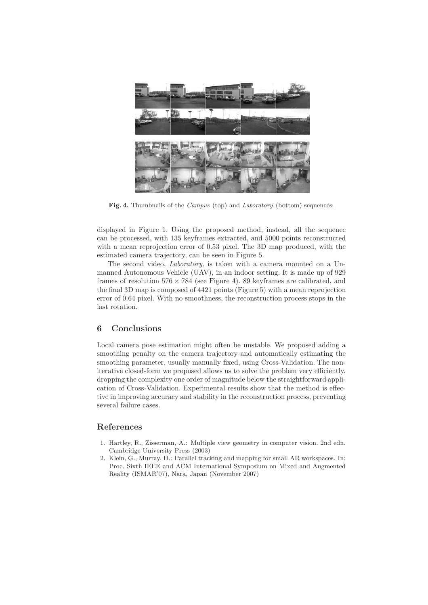

Fig. 4. Thumbnails of the *Campus* (top) and *Laboratory* (bottom) sequences.

displayed in Figure 1. Using the proposed method, instead, all the sequence can be processed, with 135 keyframes extracted, and 5000 points reconstructed with a mean reprojection error of 0.53 pixel. The 3D map produced, with the estimated camera trajectory, can be seen in Figure 5.

The second video, Laboratory, is taken with a camera mounted on a Unmanned Autonomous Vehicle (UAV), in an indoor setting. It is made up of 929 frames of resolution  $576 \times 784$  (see Figure 4). 89 keyframes are calibrated, and the final 3D map is composed of 4421 points (Figure 5) with a mean reprojection error of 0.64 pixel. With no smoothness, the reconstruction process stops in the last rotation.

# 6 Conclusions

Local camera pose estimation might often be unstable. We proposed adding a smoothing penalty on the camera trajectory and automatically estimating the smoothing parameter, usually manually fixed, using Cross-Validation. The noniterative closed-form we proposed allows us to solve the problem very efficiently, dropping the complexity one order of magnitude below the straightforward application of Cross-Validation. Experimental results show that the method is effective in improving accuracy and stability in the reconstruction process, preventing several failure cases.

## References

- 1. Hartley, R., Zisserman, A.: Multiple view geometry in computer vision. 2nd edn. Cambridge University Press (2003)
- 2. Klein, G., Murray, D.: Parallel tracking and mapping for small AR workspaces. In: Proc. Sixth IEEE and ACM International Symposium on Mixed and Augmented Reality (ISMAR'07), Nara, Japan (November 2007)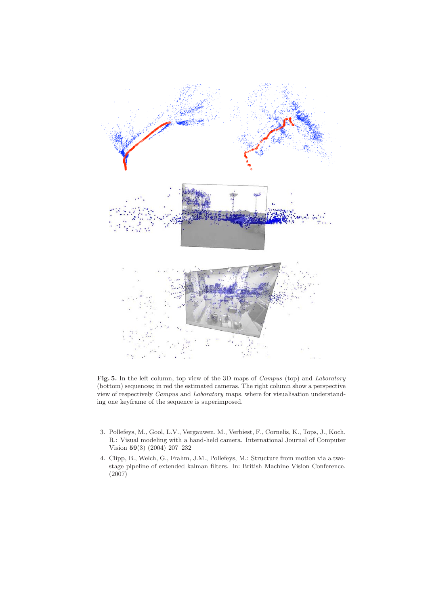

Fig. 5. In the left column, top view of the 3D maps of Campus (top) and Laboratory (bottom) sequences; in red the estimated cameras. The right column show a perspective view of respectively Campus and Laboratory maps, where for visualisation understanding one keyframe of the sequence is superimposed.

- 3. Pollefeys, M., Gool, L.V., Vergauwen, M., Verbiest, F., Cornelis, K., Tops, J., Koch, R.: Visual modeling with a hand-held camera. International Journal of Computer Vision 59(3) (2004) 207–232
- 4. Clipp, B., Welch, G., Frahm, J.M., Pollefeys, M.: Structure from motion via a twostage pipeline of extended kalman filters. In: British Machine Vision Conference. (2007)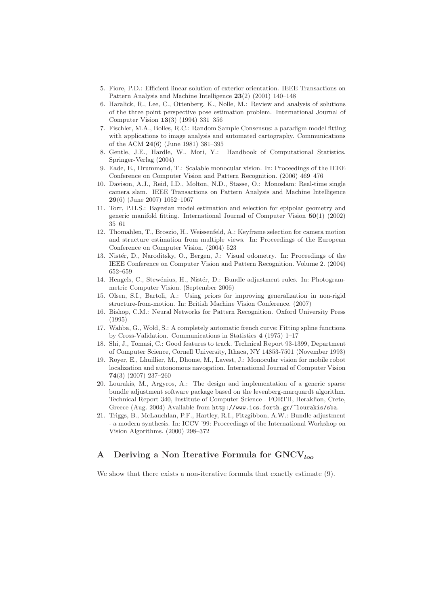- 5. Fiore, P.D.: Efficient linear solution of exterior orientation. IEEE Transactions on Pattern Analysis and Machine Intelligence 23(2) (2001) 140–148
- 6. Haralick, R., Lee, C., Ottenberg, K., Nolle, M.: Review and analysis of solutions of the three point perspective pose estimation problem. International Journal of Computer Vision 13(3) (1994) 331–356
- 7. Fischler, M.A., Bolles, R.C.: Random Sample Consensus: a paradigm model fitting with applications to image analysis and automated cartography. Communications of the ACM 24(6) (June 1981) 381–395
- 8. Gentle, J.E., Hardle, W., Mori, Y.: Handbook of Computational Statistics. Springer-Verlag (2004)
- 9. Eade, E., Drummond, T.: Scalable monocular vision. In: Proceedings of the IEEE Conference on Computer Vision and Pattern Recognition. (2006) 469–476
- 10. Davison, A.J., Reid, I.D., Molton, N.D., Stasse, O.: Monoslam: Real-time single camera slam. IEEE Transactions on Pattern Analysis and Machine Intelligence 29(6) (June 2007) 1052–1067
- 11. Torr, P.H.S.: Bayesian model estimation and selection for epipolar geometry and generic manifold fitting. International Journal of Computer Vision 50(1) (2002) 35–61
- 12. Thomahlen, T., Broszio, H., Weissenfeld, A.: Keyframe selection for camera motion and structure estimation from multiple views. In: Proceedings of the European Conference on Computer Vision. (2004) 523
- 13. Nistér, D., Naroditsky, O., Bergen, J.: Visual odometry. In: Proceedings of the IEEE Conference on Computer Vision and Pattern Recognition. Volume 2. (2004) 652–659
- 14. Hengels, C., Stewénius, H., Nistér, D.: Bundle adjustment rules. In: Photogrammetric Computer Vision. (September 2006)
- 15. Olsen, S.I., Bartoli, A.: Using priors for improving generalization in non-rigid structure-from-motion. In: British Machine Vision Conference. (2007)
- 16. Bishop, C.M.: Neural Networks for Pattern Recognition. Oxford University Press (1995)
- 17. Wahba, G., Wold, S.: A completely automatic french curve: Fitting spline functions by Cross-Validation. Communications in Statistics 4 (1975) 1–17
- 18. Shi, J., Tomasi, C.: Good features to track. Technical Report 93-1399, Department of Computer Science, Cornell University, Ithaca, NY 14853-7501 (November 1993)
- 19. Royer, E., Lhuillier, M., Dhome, M., Lavest, J.: Monocular vision for mobile robot localization and autonomous navogation. International Journal of Computer Vision 74(3) (2007) 237–260
- 20. Lourakis, M., Argyros, A.: The design and implementation of a generic sparse bundle adjustment software package based on the levenberg-marquardt algorithm. Technical Report 340, Institute of Computer Science - FORTH, Heraklion, Crete, Greece (Aug. 2004) Available from http://www.ics.forth.gr/~lourakis/sba.
- 21. Triggs, B., McLauchlan, P.F., Hartley, R.I., Fitzgibbon, A.W.: Bundle adjustment - a modern synthesis. In: ICCV '99: Proceedings of the International Workshop on Vision Algorithms. (2000) 298–372

# A Deriving a Non Iterative Formula for  $\text{GNCV}_{\text{loc}}$

We show that there exists a non-iterative formula that exactly estimate  $(9)$ .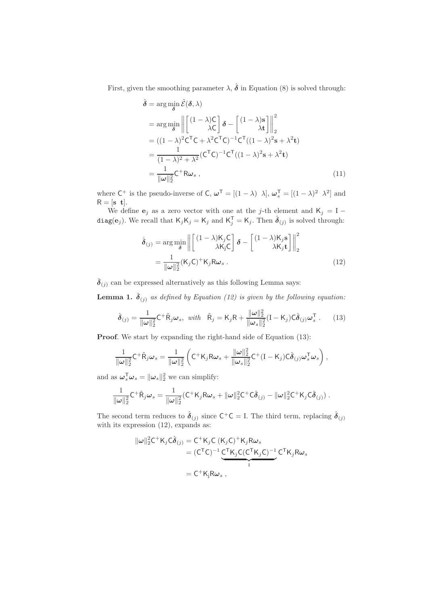First, given the smoothing parameter  $\lambda$ ,  $\hat{\boldsymbol{\delta}}$  in Equation (8) is solved through:

$$
\hat{\delta} = \arg\min_{\delta} \tilde{\mathcal{E}}(\delta, \lambda)
$$
\n
$$
= \arg\min_{\delta} \left\| \begin{bmatrix} (1 - \lambda)\mathsf{C} \\ \lambda\mathsf{C} \end{bmatrix} \delta - \begin{bmatrix} (1 - \lambda)\mathsf{s} \\ \lambda\mathsf{t} \end{bmatrix} \right\|_{2}^{2}
$$
\n
$$
= ((1 - \lambda)^{2}\mathsf{C}^{\mathsf{T}}\mathsf{C} + \lambda^{2}\mathsf{C}^{\mathsf{T}}\mathsf{C})^{-1}\mathsf{C}^{\mathsf{T}}((1 - \lambda)^{2}\mathsf{s} + \lambda^{2}\mathsf{t})
$$
\n
$$
= \frac{1}{(1 - \lambda)^{2} + \lambda^{2}}(\mathsf{C}^{\mathsf{T}}\mathsf{C})^{-1}\mathsf{C}^{\mathsf{T}}((1 - \lambda)^{2}\mathsf{s} + \lambda^{2}\mathsf{t})
$$
\n
$$
= \frac{1}{\|\omega\|_{2}^{2}}\mathsf{C}^{+}\mathsf{R}\omega_{s}, \qquad (11)
$$

where  $C^+$  is the pseudo-inverse of C,  $\boldsymbol{\omega}^T = [(1 - \lambda) \lambda], \boldsymbol{\omega}_s^T = [(1 - \lambda)^2 \lambda^2]$  and  $R = [s \ t].$ 

We define  $e_j$  as a zero vector with one at the j-th element and K<sub>j</sub> = I – diag(e<sub>j</sub>). We recall that  $\mathsf{K}_j\mathsf{K}_j = \mathsf{K}_j$  and  $\mathsf{K}_j^{\mathsf{T}} = \mathsf{K}_j$ . Then  $\hat{\boldsymbol{\delta}}_{(j)}$  is solved through:

$$
\hat{\boldsymbol{\delta}}_{(j)} = \arg\min_{\boldsymbol{\delta}} \left\| \begin{bmatrix} (1-\lambda)\mathsf{K}_{j}\mathsf{C} \\ \lambda\mathsf{K}_{j}\mathsf{C} \end{bmatrix} \boldsymbol{\delta} - \begin{bmatrix} (1-\lambda)\mathsf{K}_{j}\mathbf{s} \\ \lambda\mathsf{K}_{j}\mathbf{t} \end{bmatrix} \right\|_{2}^{2}
$$
\n
$$
= \frac{1}{\|\boldsymbol{\omega}\|_{2}^{2}} (\mathsf{K}_{j}\mathsf{C})^{+} \mathsf{K}_{j}\mathsf{R}\boldsymbol{\omega}_{s} . \tag{12}
$$

 $\hat{\pmb{\delta}}_{(j)}$  can be expressed alternatively as this following Lemma says:

**Lemma 1.**  $\hat{\boldsymbol{\delta}}_{(j)}$  as defined by Equation (12) is given by the following equation:

$$
\hat{\boldsymbol{\delta}}_{(j)} = \frac{1}{\|\boldsymbol{\omega}\|_2^2} \mathsf{C}^+ \tilde{\mathsf{R}}_j \boldsymbol{\omega}_s, \ \ \text{with} \quad \tilde{\mathsf{R}}_j = \mathsf{K}_j \mathsf{R} + \frac{\|\boldsymbol{\omega}\|_2^2}{\|\boldsymbol{\omega}_s\|_2^2} (\mathsf{I} - \mathsf{K}_j) \mathsf{C} \hat{\boldsymbol{\delta}}_{(j)} \boldsymbol{\omega}_s^{\mathsf{T}} . \tag{13}
$$

Proof. We start by expanding the right-hand side of Equation (13):

$$
\frac{1}{\|\omega\|_2^2} \mathsf{C}^+ \tilde{\mathsf{R}}_j \omega_s = \frac{1}{\|\omega\|_2^2} \left( \mathsf{C}^+ \mathsf{K}_j \mathsf{R} \omega_s + \frac{\|\omega\|_2^2}{\|\omega_s\|_2^2} \mathsf{C}^+ ( \mathsf{I} - \mathsf{K}_j ) \mathsf{C} \hat{\boldsymbol{\delta}}_{(j)} \omega_s^\mathsf{T} \omega_s \right),
$$

and as  $\boldsymbol{\omega}_s^{\mathsf{T}} \boldsymbol{\omega}_s = ||\boldsymbol{\omega}_s||_2^2$  we can simplify:

$$
\frac{1}{\|\omega\|_2^2} C^+ \tilde{R}_j \omega_s = \frac{1}{\|\omega\|_2^2} (C^+ K_j R \omega_s + \|\omega\|_2^2 C^+ C \hat{\delta}_{(j)} - \|\omega\|_2^2 C^+ K_j C \hat{\delta}_{(j)}).
$$

The second term reduces to  $\hat{\delta}_{(j)}$  since  $C^+C = I$ . The third term, replacing  $\hat{\delta}_{(j)}$ with its expression  $(12)$ , expands as:

$$
\|\omega\|_{2}^{2}C^{+}K_{j}C\hat{\delta}_{(j)} = C^{+}K_{j}C(K_{j}C)^{+}K_{j}R\omega_{s}
$$
  

$$
= (C^{T}C)^{-1}C^{T}K_{j}C(C^{T}K_{j}C)^{-1}C^{T}K_{j}R\omega_{s}
$$
  

$$
= C^{+}K_{j}R\omega_{s},
$$